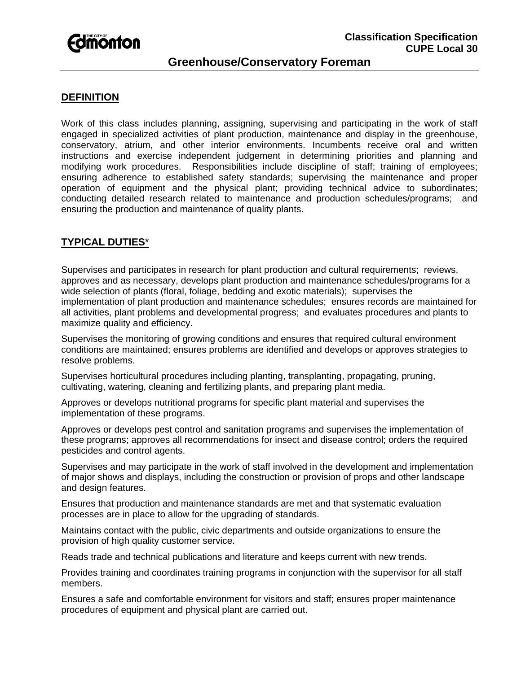

# **Greenhouse/Conservatory Foreman**

### **DEFINITION**

Work of this class includes planning, assigning, supervising and participating in the work of staff engaged in specialized activities of plant production, maintenance and display in the greenhouse, conservatory, atrium, and other interior environments. Incumbents receive oral and written instructions and exercise independent judgement in determining priorities and planning and modifying work procedures. Responsibilities include discipline of staff; training of employees; ensuring adherence to established safety standards; supervising the maintenance and proper operation of equipment and the physical plant; providing technical advice to subordinates; conducting detailed research related to maintenance and production schedules/programs; and ensuring the production and maintenance of quality plants.

## **TYPICAL DUTIES**\*

Supervises and participates in research for plant production and cultural requirements; reviews, approves and as necessary, develops plant production and maintenance schedules/programs for a wide selection of plants (floral, foliage, bedding and exotic materials); supervises the implementation of plant production and maintenance schedules; ensures records are maintained for all activities, plant problems and developmental progress; and evaluates procedures and plants to maximize quality and efficiency.

Supervises the monitoring of growing conditions and ensures that required cultural environment conditions are maintained; ensures problems are identified and develops or approves strategies to resolve problems.

Supervises horticultural procedures including planting, transplanting, propagating, pruning, cultivating, watering, cleaning and fertilizing plants, and preparing plant media.

Approves or develops nutritional programs for specific plant material and supervises the implementation of these programs.

Approves or develops pest control and sanitation programs and supervises the implementation of these programs; approves all recommendations for insect and disease control; orders the required pesticides and control agents.

Supervises and may participate in the work of staff involved in the development and implementation of major shows and displays, including the construction or provision of props and other landscape and design features.

Ensures that production and maintenance standards are met and that systematic evaluation processes are in place to allow for the upgrading of standards.

Maintains contact with the public, civic departments and outside organizations to ensure the provision of high quality customer service.

Reads trade and technical publications and literature and keeps current with new trends.

Provides training and coordinates training programs in conjunction with the supervisor for all staff members.

Ensures a safe and comfortable environment for visitors and staff; ensures proper maintenance procedures of equipment and physical plant are carried out.